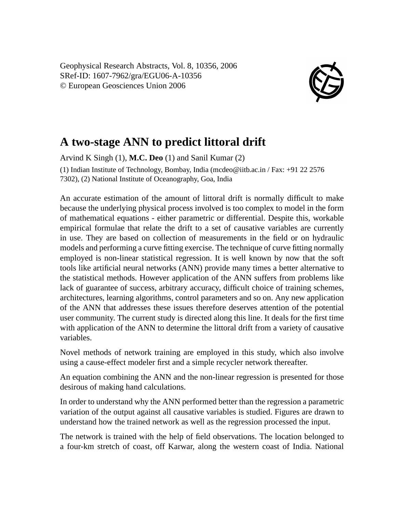Geophysical Research Abstracts, Vol. 8, 10356, 2006 SRef-ID: 1607-7962/gra/EGU06-A-10356 © European Geosciences Union 2006



## **A two-stage ANN to predict littoral drift**

Arvind K Singh (1), **M.C. Deo** (1) and Sanil Kumar (2) (1) Indian Institute of Technology, Bombay, India (mcdeo@iitb.ac.in / Fax: +91 22 2576 7302), (2) National Institute of Oceanography, Goa, India

An accurate estimation of the amount of littoral drift is normally difficult to make because the underlying physical process involved is too complex to model in the form of mathematical equations - either parametric or differential. Despite this, workable empirical formulae that relate the drift to a set of causative variables are currently in use. They are based on collection of measurements in the field or on hydraulic models and performing a curve fitting exercise. The technique of curve fitting normally employed is non-linear statistical regression. It is well known by now that the soft tools like artificial neural networks (ANN) provide many times a better alternative to the statistical methods. However application of the ANN suffers from problems like lack of guarantee of success, arbitrary accuracy, difficult choice of training schemes, architectures, learning algorithms, control parameters and so on. Any new application of the ANN that addresses these issues therefore deserves attention of the potential user community. The current study is directed along this line. It deals for the first time with application of the ANN to determine the littoral drift from a variety of causative variables.

Novel methods of network training are employed in this study, which also involve using a cause-effect modeler first and a simple recycler network thereafter.

An equation combining the ANN and the non-linear regression is presented for those desirous of making hand calculations.

In order to understand why the ANN performed better than the regression a parametric variation of the output against all causative variables is studied. Figures are drawn to understand how the trained network as well as the regression processed the input.

The network is trained with the help of field observations. The location belonged to a four-km stretch of coast, off Karwar, along the western coast of India. National